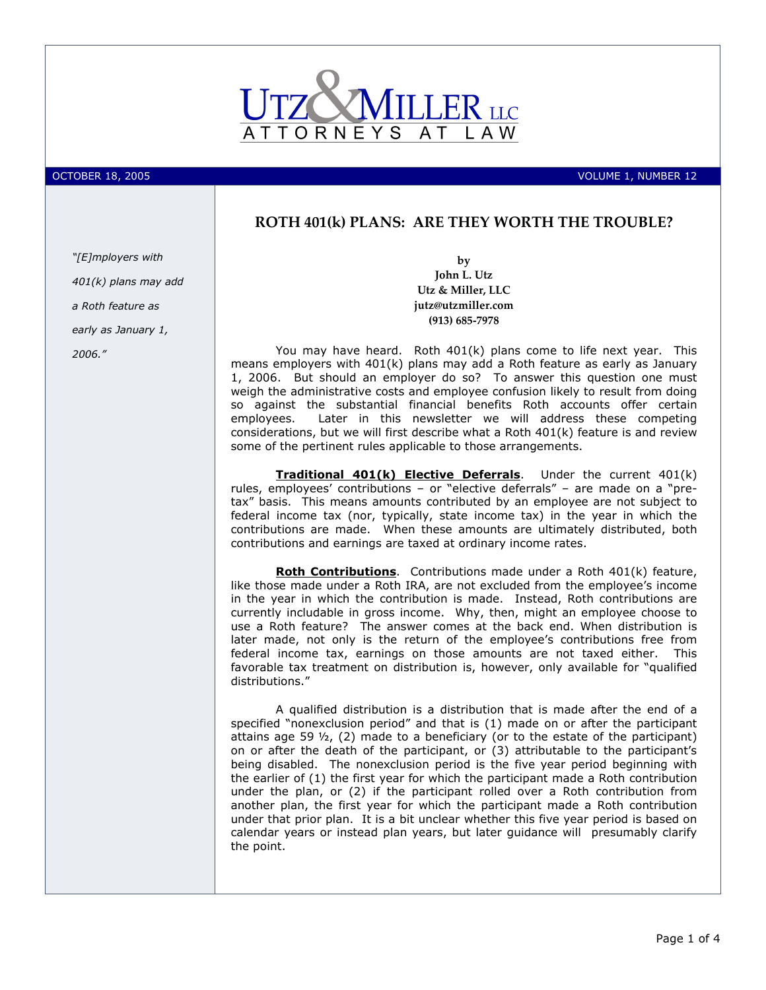

OCTOBER 18, 2005 **VOLUME 1, NUMBER 12** 

# ROTH 401(k) PLANS: ARE THEY WORTH THE TROUBLE?

"[E]mployers with 401(k) plans may add a Roth feature as early as January 1, 2006."

by John L. Utz Utz & Miller, LLC jutz@utzmiller.com (913) 685-7978

You may have heard. Roth 401(k) plans come to life next year. This means employers with 401(k) plans may add a Roth feature as early as January 1, 2006. But should an employer do so? To answer this question one must weigh the administrative costs and employee confusion likely to result from doing so against the substantial financial benefits Roth accounts offer certain employees. Later in this newsletter we will address these competing considerations, but we will first describe what a Roth 401(k) feature is and review some of the pertinent rules applicable to those arrangements.

Traditional 401(k) Elective Deferrals. Under the current 401(k) rules, employees' contributions – or "elective deferrals" – are made on a "pretax" basis. This means amounts contributed by an employee are not subject to federal income tax (nor, typically, state income tax) in the year in which the contributions are made. When these amounts are ultimately distributed, both contributions and earnings are taxed at ordinary income rates.

Roth Contributions. Contributions made under a Roth 401(k) feature, like those made under a Roth IRA, are not excluded from the employee's income in the year in which the contribution is made. Instead, Roth contributions are currently includable in gross income. Why, then, might an employee choose to use a Roth feature? The answer comes at the back end. When distribution is later made, not only is the return of the employee's contributions free from federal income tax, earnings on those amounts are not taxed either. This favorable tax treatment on distribution is, however, only available for "qualified distributions."

A qualified distribution is a distribution that is made after the end of a specified "nonexclusion period" and that is (1) made on or after the participant attains age 59  $\frac{1}{2}$ , (2) made to a beneficiary (or to the estate of the participant) on or after the death of the participant, or (3) attributable to the participant's being disabled. The nonexclusion period is the five year period beginning with the earlier of (1) the first year for which the participant made a Roth contribution under the plan, or (2) if the participant rolled over a Roth contribution from another plan, the first year for which the participant made a Roth contribution under that prior plan. It is a bit unclear whether this five year period is based on calendar years or instead plan years, but later guidance will presumably clarify the point.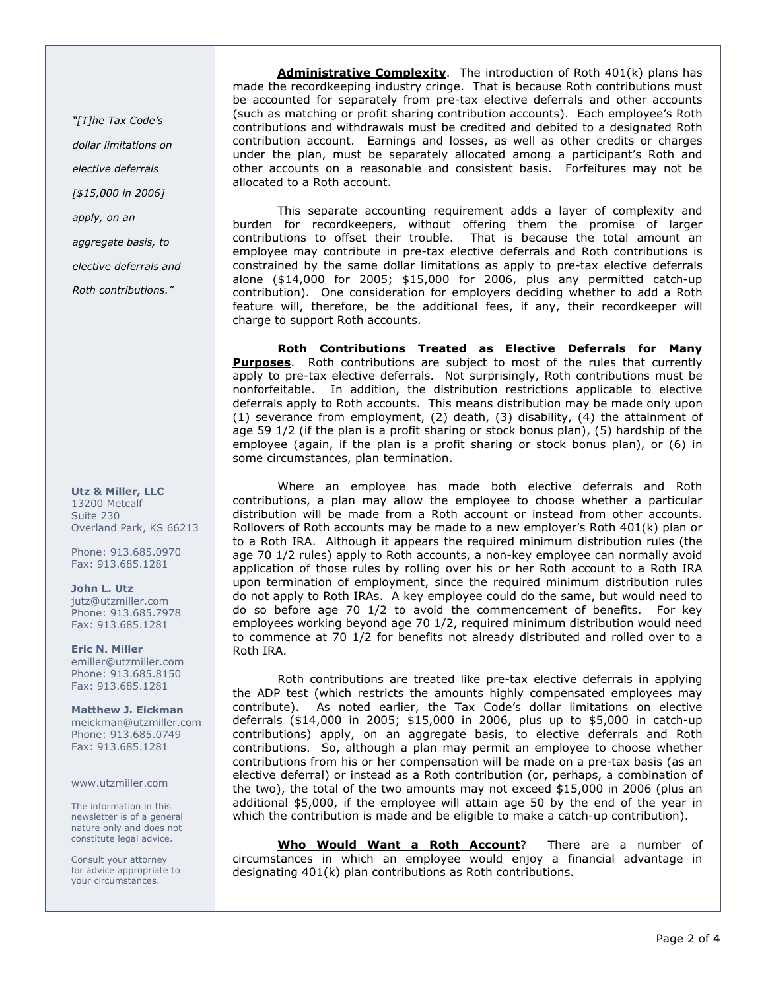"[T]he Tax Code's dollar limitations on elective deferrals [\$15,000 in 2006] apply, on an aggregate basis, to

elective deferrals and

Roth contributions."

Utz & Miller, LLC 13200 Metcalf Suite 230 Overland Park, KS 66213

Phone: 913.685.0970 Fax: 913.685.1281

John L. Utz jutz@utzmiller.com Phone: 913.685.7978 Fax: 913.685.1281

Eric N. Miller emiller@utzmiller.com Phone: 913.685.8150 Fax: 913.685.1281

Matthew J. Eickman meickman@utzmiller.com Phone: 913.685.0749 Fax: 913.685.1281

www.utzmiller.com

The information in this newsletter is of a general nature only and does not constitute legal advice.

Consult your attorney for advice appropriate to your circumstances.

Administrative Complexity. The introduction of Roth 401(k) plans has made the recordkeeping industry cringe. That is because Roth contributions must be accounted for separately from pre-tax elective deferrals and other accounts (such as matching or profit sharing contribution accounts). Each employee's Roth contributions and withdrawals must be credited and debited to a designated Roth contribution account. Earnings and losses, as well as other credits or charges under the plan, must be separately allocated among a participant's Roth and other accounts on a reasonable and consistent basis. Forfeitures may not be allocated to a Roth account.

This separate accounting requirement adds a layer of complexity and burden for recordkeepers, without offering them the promise of larger contributions to offset their trouble. That is because the total amount an employee may contribute in pre-tax elective deferrals and Roth contributions is constrained by the same dollar limitations as apply to pre-tax elective deferrals alone (\$14,000 for 2005; \$15,000 for 2006, plus any permitted catch-up contribution). One consideration for employers deciding whether to add a Roth feature will, therefore, be the additional fees, if any, their recordkeeper will charge to support Roth accounts.

Roth Contributions Treated as Elective Deferrals for Many **Purposes.** Roth contributions are subject to most of the rules that currently apply to pre-tax elective deferrals. Not surprisingly, Roth contributions must be nonforfeitable. In addition, the distribution restrictions applicable to elective deferrals apply to Roth accounts. This means distribution may be made only upon (1) severance from employment, (2) death, (3) disability, (4) the attainment of age 59 1/2 (if the plan is a profit sharing or stock bonus plan), (5) hardship of the employee (again, if the plan is a profit sharing or stock bonus plan), or (6) in some circumstances, plan termination.

Where an employee has made both elective deferrals and Roth contributions, a plan may allow the employee to choose whether a particular distribution will be made from a Roth account or instead from other accounts. Rollovers of Roth accounts may be made to a new employer's Roth 401(k) plan or to a Roth IRA. Although it appears the required minimum distribution rules (the age 70 1/2 rules) apply to Roth accounts, a non-key employee can normally avoid application of those rules by rolling over his or her Roth account to a Roth IRA upon termination of employment, since the required minimum distribution rules do not apply to Roth IRAs. A key employee could do the same, but would need to do so before age 70 1/2 to avoid the commencement of benefits. For key employees working beyond age 70 1/2, required minimum distribution would need to commence at 70 1/2 for benefits not already distributed and rolled over to a Roth IRA.

Roth contributions are treated like pre-tax elective deferrals in applying the ADP test (which restricts the amounts highly compensated employees may contribute). As noted earlier, the Tax Code's dollar limitations on elective deferrals (\$14,000 in 2005; \$15,000 in 2006, plus up to \$5,000 in catch-up contributions) apply, on an aggregate basis, to elective deferrals and Roth contributions. So, although a plan may permit an employee to choose whether contributions from his or her compensation will be made on a pre-tax basis (as an elective deferral) or instead as a Roth contribution (or, perhaps, a combination of the two), the total of the two amounts may not exceed \$15,000 in 2006 (plus an additional \$5,000, if the employee will attain age 50 by the end of the year in which the contribution is made and be eligible to make a catch-up contribution).

Who Would Want a Roth Account? There are a number of circumstances in which an employee would enjoy a financial advantage in designating 401(k) plan contributions as Roth contributions.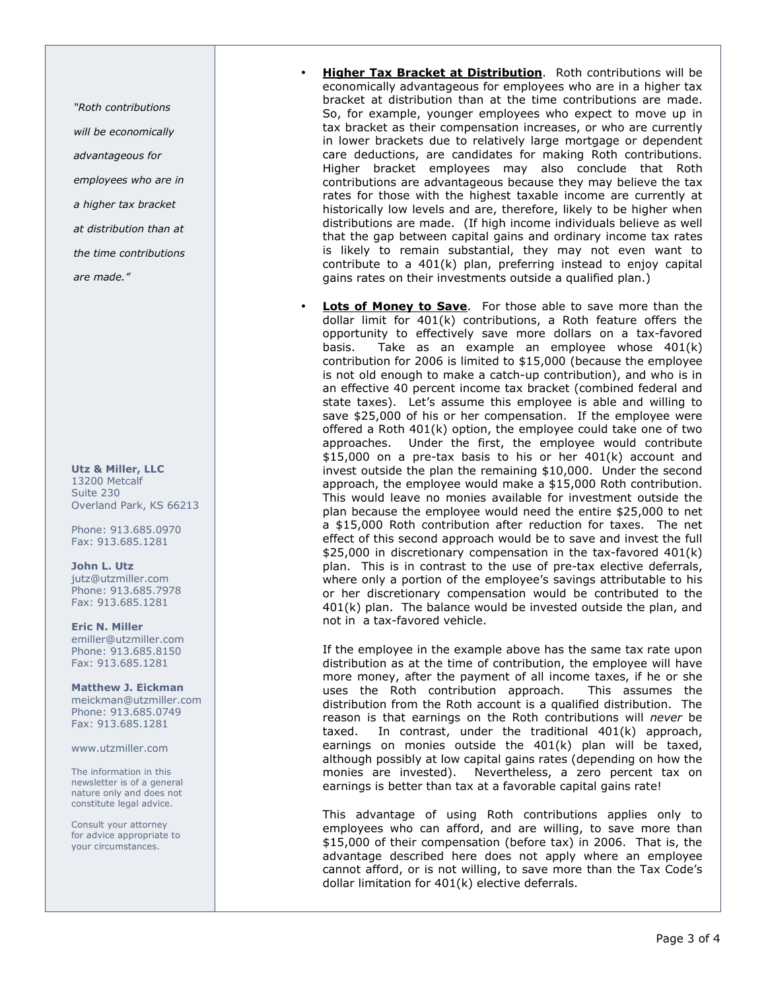"Roth contributions will be economically advantageous for employees who are in a higher tax bracket at distribution than at the time contributions are made."

#### Utz & Miller, LLC 13200 Metcalf Suite 230

Overland Park, KS 66213 Phone: 913.685.0970

# Fax: 913.685.1281

John L. Utz jutz@utzmiller.com Phone: 913.685.7978 Fax: 913.685.1281

# Eric N. Miller

emiller@utzmiller.com Phone: 913.685.8150 Fax: 913.685.1281

# Matthew J. Eickman

meickman@utzmiller.com Phone: 913.685.0749 Fax: 913.685.1281

### www.utzmiller.com

The information in this newsletter is of a general nature only and does not constitute legal advice.

Consult your attorney for advice appropriate to your circumstances.

- **Higher Tax Bracket at Distribution**. Roth contributions will be economically advantageous for employees who are in a higher tax bracket at distribution than at the time contributions are made. So, for example, younger employees who expect to move up in tax bracket as their compensation increases, or who are currently in lower brackets due to relatively large mortgage or dependent care deductions, are candidates for making Roth contributions. Higher bracket employees may also conclude that Roth contributions are advantageous because they may believe the tax rates for those with the highest taxable income are currently at historically low levels and are, therefore, likely to be higher when distributions are made. (If high income individuals believe as well that the gap between capital gains and ordinary income tax rates is likely to remain substantial, they may not even want to contribute to a 401(k) plan, preferring instead to enjoy capital gains rates on their investments outside a qualified plan.)
- **Lots of Money to Save.** For those able to save more than the dollar limit for 401(k) contributions, a Roth feature offers the opportunity to effectively save more dollars on a tax-favored basis. Take as an example an employee whose 401(k) contribution for 2006 is limited to \$15,000 (because the employee is not old enough to make a catch-up contribution), and who is in an effective 40 percent income tax bracket (combined federal and state taxes). Let's assume this employee is able and willing to save \$25,000 of his or her compensation. If the employee were offered a Roth 401(k) option, the employee could take one of two approaches. Under the first, the employee would contribute \$15,000 on a pre-tax basis to his or her 401(k) account and invest outside the plan the remaining \$10,000. Under the second approach, the employee would make a \$15,000 Roth contribution. This would leave no monies available for investment outside the plan because the employee would need the entire \$25,000 to net a \$15,000 Roth contribution after reduction for taxes. The net effect of this second approach would be to save and invest the full \$25,000 in discretionary compensation in the tax-favored 401(k) plan. This is in contrast to the use of pre-tax elective deferrals, where only a portion of the employee's savings attributable to his or her discretionary compensation would be contributed to the 401(k) plan. The balance would be invested outside the plan, and not in a tax-favored vehicle.

If the employee in the example above has the same tax rate upon distribution as at the time of contribution, the employee will have more money, after the payment of all income taxes, if he or she uses the Roth contribution approach. This assumes the distribution from the Roth account is a qualified distribution. The reason is that earnings on the Roth contributions will never be taxed. In contrast, under the traditional 401(k) approach, earnings on monies outside the 401(k) plan will be taxed, although possibly at low capital gains rates (depending on how the monies are invested). Nevertheless, a zero percent tax on earnings is better than tax at a favorable capital gains rate!

This advantage of using Roth contributions applies only to employees who can afford, and are willing, to save more than \$15,000 of their compensation (before tax) in 2006. That is, the advantage described here does not apply where an employee cannot afford, or is not willing, to save more than the Tax Code's dollar limitation for 401(k) elective deferrals.